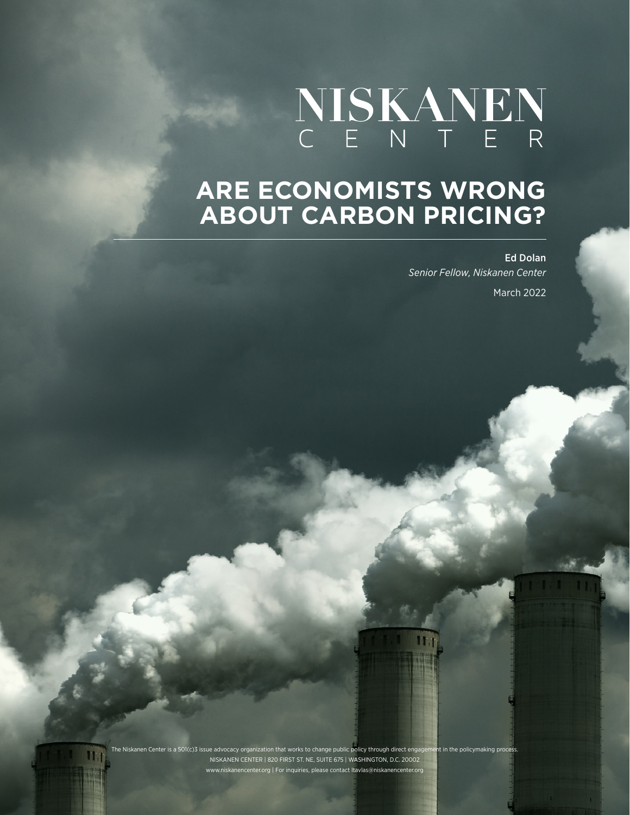# NISKANEN

## **ARE ECONOMISTS WRONG ABOUT CARBON PRICING?**

Ed Dolan *Senior Fellow, Niskanen Center* March 2022

The Niskanen Center is a 501(c)3 issue advocacy organization that works to change public policy through direct engagement in the policymaking process. NISKANEN CENTER | 820 FIRST ST. NE, SUITE 675 | WASHINGTON, D.C. 20002 .org | For inquiries, please contact ltavlas@niskanencenter.org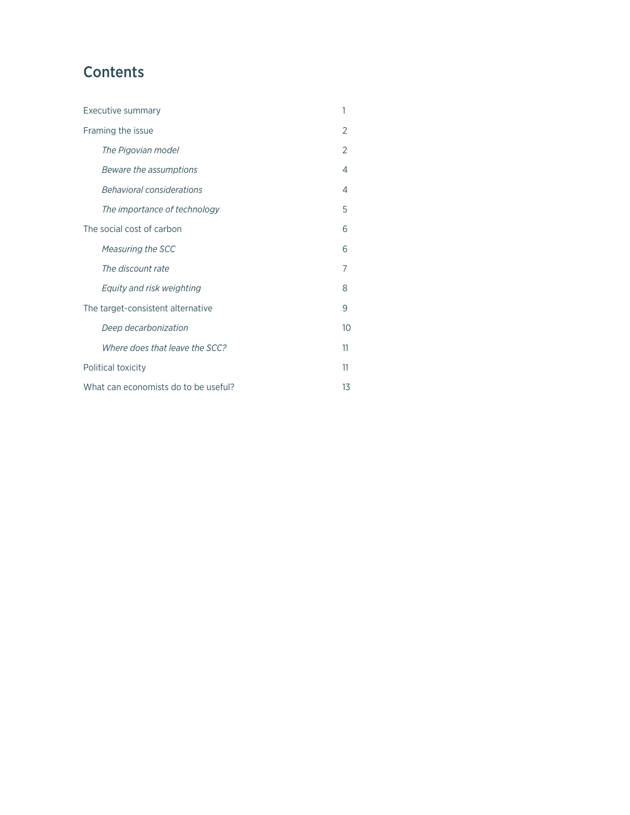## **Contents**

| Executive summary                    |                                | 1              |
|--------------------------------------|--------------------------------|----------------|
| Framing the issue                    |                                | $\overline{2}$ |
|                                      | The Pigovian model             | 2              |
|                                      | Beware the assumptions         | 4              |
|                                      | Behavioral considerations      | 4              |
|                                      | The importance of technology   | 5              |
| The social cost of carbon            |                                | 6              |
|                                      | Measuring the SCC              | 6              |
|                                      | The discount rate              | 7              |
|                                      | Equity and risk weighting      | 8              |
| The target-consistent alternative    |                                | 9              |
|                                      | Deep decarbonization           | 10             |
|                                      | Where does that leave the SCC? | 11             |
| Political toxicity                   |                                | 11             |
| What can economists do to be useful? |                                | 13             |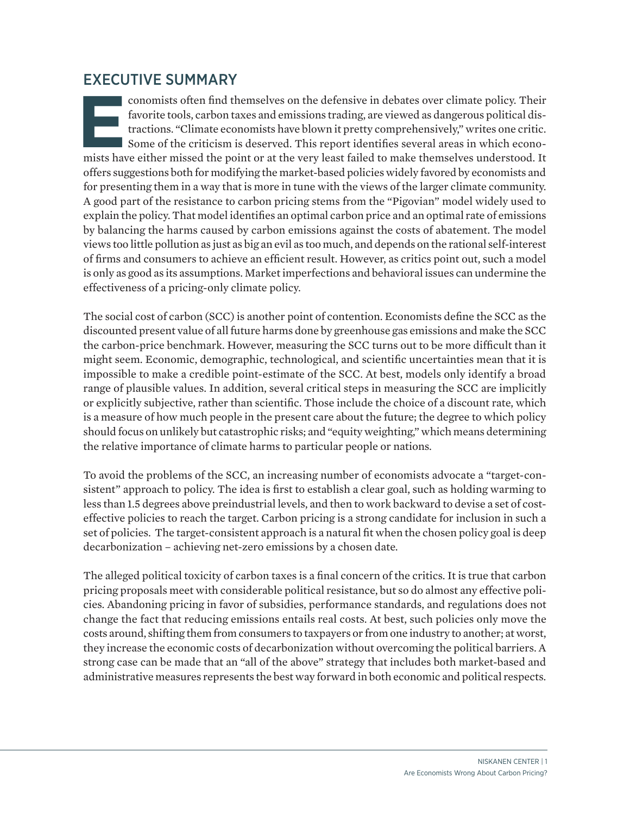### <span id="page-2-0"></span>EXECUTIVE SUMMARY

**Economists often find themselves on the defensive in debates over climate policy. Their favorite tools, carbon taxes and emissions trading, are viewed as dangerous political distractions. "Climate economists have blown it** favorite tools, carbon taxes and emissions trading, are viewed as dangerous political distractions. "Climate economists have blown it pretty comprehensively," writes one critic. Some of the criticism is deserved. This report identifies several areas in which economists have either missed the point or at the very least failed to make themselves understood. It offers suggestions both for modifying the market-based policies widely favored by economists and for presenting them in a way that is more in tune with the views of the larger climate community. A good part of the resistance to carbon pricing stems from the "Pigovian" model widely used to explain the policy. That model identifies an optimal carbon price and an optimal rate of emissions by balancing the harms caused by carbon emissions against the costs of abatement. The model views too little pollution as just as big an evil as too much, and depends on the rational self-interest of firms and consumers to achieve an efficient result. However, as critics point out, such a model is only as good as its assumptions. Market imperfections and behavioral issues can undermine the effectiveness of a pricing-only climate policy.

The social cost of carbon (SCC) is another point of contention. Economists define the SCC as the discounted present value of all future harms done by greenhouse gas emissions and make the SCC the carbon-price benchmark. However, measuring the SCC turns out to be more difficult than it might seem. Economic, demographic, technological, and scientific uncertainties mean that it is impossible to make a credible point-estimate of the SCC. At best, models only identify a broad range of plausible values. In addition, several critical steps in measuring the SCC are implicitly or explicitly subjective, rather than scientific. Those include the choice of a discount rate, which is a measure of how much people in the present care about the future; the degree to which policy should focus on unlikely but catastrophic risks; and "equity weighting," which means determining the relative importance of climate harms to particular people or nations.

To avoid the problems of the SCC, an increasing number of economists advocate a "target-consistent" approach to policy. The idea is first to establish a clear goal, such as holding warming to less than 1.5 degrees above preindustrial levels, and then to work backward to devise a set of costeffective policies to reach the target. Carbon pricing is a strong candidate for inclusion in such a set of policies. The target-consistent approach is a natural fit when the chosen policy goal is deep decarbonization – achieving net-zero emissions by a chosen date.

The alleged political toxicity of carbon taxes is a final concern of the critics. It is true that carbon pricing proposals meet with considerable political resistance, but so do almost any effective policies. Abandoning pricing in favor of subsidies, performance standards, and regulations does not change the fact that reducing emissions entails real costs. At best, such policies only move the costs around, shifting them from consumers to taxpayers or from one industry to another; at worst, they increase the economic costs of decarbonization without overcoming the political barriers. A strong case can be made that an "all of the above" strategy that includes both market-based and administrative measures represents the best way forward in both economic and political respects.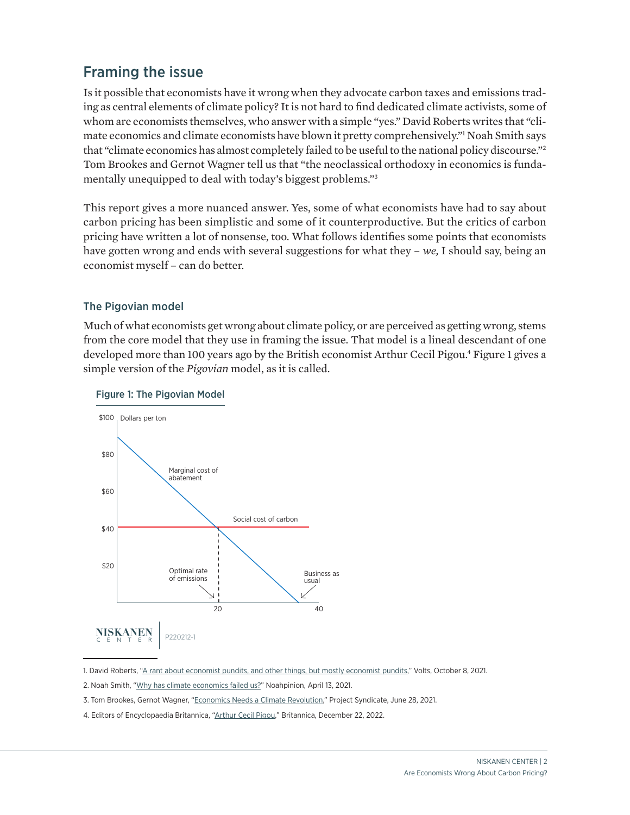## <span id="page-3-0"></span>Framing the issue

Is it possible that economists have it wrong when they advocate carbon taxes and emissions trading as central elements of climate policy? It is not hard to find dedicated climate activists, some of whom are economists themselves, who answer with a simple "yes." [David Roberts](https://www.volts.wtf/p/a-rant-about-economist-pundits-and?token=eyJ1c2VyX2lkIjo5Njg0OTYsInBvc3RfaWQiOjQyMTkxMTIxLCJfIjoianhScUYiLCJpYXQiOjE2MzM5NjMyMzMsImV4cCI6MTYzMzk2NjgzMywiaXNzIjoicHViLTE5MzAyNCIsInN1YiI6InBvc3QtcmVhY3Rpb24ifQ.iXK82837ISkZ0v5M80gkSalBKMSFn-wbB_h6FspBPN8) writes that "climate economics and climate economists have blown it pretty comprehensively."1 [Noah Smith](https://noahpinion.substack.com/p/why-has-climate-economics-failed) says that "climate economics has almost completely failed to be useful to the national policy discourse."2 [Tom Brookes and Gernot Wagner](https://www.project-syndicate.org/commentary/neoclassical-economics-fails-with-climate-change-by-tom-brookes-and-gernot-wagner-2021-06?barrier=accesspaylog) tell us that "the neoclassical orthodoxy in economics is fundamentally unequipped to deal with today's biggest problems."3

This report gives a more nuanced answer. Yes, some of what economists have had to say about carbon pricing has been simplistic and some of it counterproductive. But the critics of carbon pricing have written a lot of nonsense, too. What follows identifies some points that economists have gotten wrong and ends with several suggestions for what they – *we,* I should say, being an economist myself – can do better.

#### The Pigovian model

Much of what economists get wrong about climate policy, or are perceived as getting wrong, stems from the core model that they use in framing the issue. That model is a lineal descendant of one developed more than 100 years ago by the British economist [Arthur Cecil Pigou](https://www.britannica.com/biography/Arthur-Cecil-Pigou). <sup>4</sup> Figure 1 gives a simple version of the *Pigovian* model, as it is called.





<sup>1.</sup> David Roberts, ["A rant about economist pundits, and other things, but mostly economist pundits,](https://www.volts.wtf/p/a-rant-about-economist-pundits-and?token=eyJ1c2VyX2lkIjo5Njg0OTYsInBvc3RfaWQiOjQyMTkxMTIxLCJfIjoianhScUYiLCJpYXQiOjE2MzM5NjMyMzMsImV4cCI6MTYzMzk2NjgzMywiaXNzIjoicHViLTE5MzAyNCIsInN1YiI6InBvc3QtcmVhY3Rpb24ifQ.iXK82837ISkZ0v5M80gkSalBKMSFn-wbB_h6FspBPN8&s=r)" Volts, October 8, 2021.

- 2. Noah Smith, "[Why has climate economics failed us?"](https://noahpinion.substack.com/p/why-has-climate-economics-failed?s=r) Noahpinion, April 13, 2021.
- 3. Tom Brookes, Gernot Wagner, ["Economics Needs a Climate Revolution,](https://www.project-syndicate.org/commentary/neoclassical-economics-fails-with-climate-change-by-tom-brookes-and-gernot-wagner-2021-06?barrier=accesspaylog)" Project Syndicate, June 28, 2021.
- 4. Editors of Encyclopaedia Britannica, ["Arthur Cecil Pigou,"](https://www.britannica.com/biography/Arthur-Cecil-Pigou) Britannica, December 22, 2022.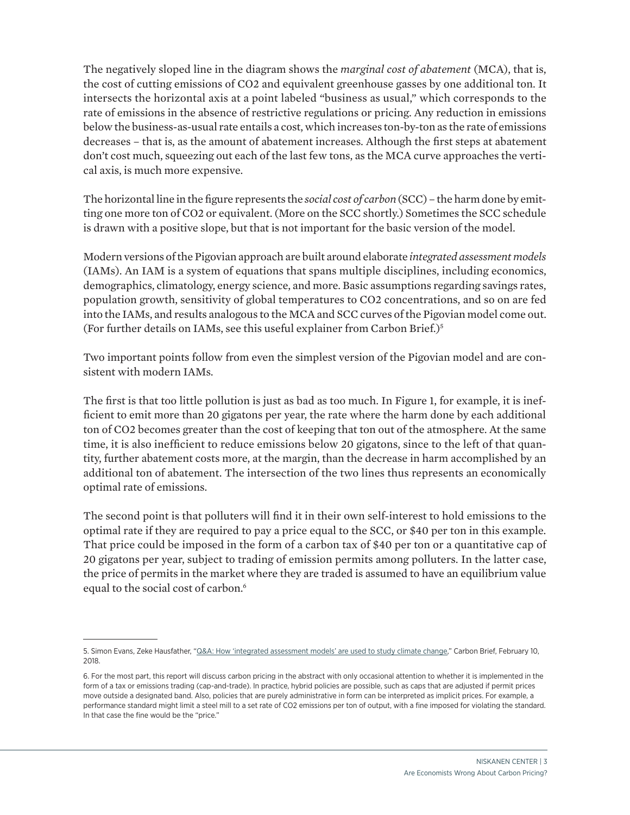The negatively sloped line in the diagram shows the *marginal cost of abatement* (MCA), that is, the cost of cutting emissions of CO2 and equivalent greenhouse gasses by one additional ton. It intersects the horizontal axis at a point labeled "business as usual," which corresponds to the rate of emissions in the absence of restrictive regulations or pricing. Any reduction in emissions below the business-as-usual rate entails a cost, which increases ton-by-ton as the rate of emissions decreases – that is, as the amount of abatement increases. Although the first steps at abatement don't cost much, squeezing out each of the last few tons, as the MCA curve approaches the vertical axis, is much more expensive.

The horizontal line in the figure represents the *social cost of carbon* (SCC) – the harm done by emitting one more ton of CO2 or equivalent. (More on the SCC shortly.) Sometimes the SCC schedule is drawn with a positive slope, but that is not important for the basic version of the model.

Modern versions of the Pigovian approach are built around elaborate *integrated assessment models*  (IAMs). An IAM is a system of equations that spans multiple disciplines, including economics, demographics, climatology, energy science, and more. Basic assumptions regarding savings rates, population growth, sensitivity of global temperatures to CO2 concentrations, and so on are fed into the IAMs, and results analogous to the MCA and SCC curves of the Pigovian model come out. (For further details on IAMs, see [this useful explainer](https://www.carbonbrief.org/qa-how-integrated-assessment-models-are-used-to-study-climate-change) from Carbon Brief.)5

Two important points follow from even the simplest version of the Pigovian model and are consistent with modern IAMs.

The first is that too little pollution is just as bad as too much. In Figure 1, for example, it is inefficient to emit more than 20 gigatons per year, the rate where the harm done by each additional ton of CO2 becomes greater than the cost of keeping that ton out of the atmosphere. At the same time, it is also inefficient to reduce emissions below 20 gigatons, since to the left of that quantity, further abatement costs more, at the margin, than the decrease in harm accomplished by an additional ton of abatement. The intersection of the two lines thus represents an economically optimal rate of emissions.

The second point is that polluters will find it in their own self-interest to hold emissions to the optimal rate if they are required to pay a price equal to the SCC, or \$40 per ton in this example. That price could be imposed in the form of a carbon tax of \$40 per ton or a quantitative cap of 20 gigatons per year, subject to trading of emission permits among polluters. In the latter case, the price of permits in the market where they are traded is assumed to have an equilibrium value equal to the social cost of carbon.<sup>6</sup>

<sup>5.</sup> Simon Evans, Zeke Hausfather, ["Q&A: How 'integrated assessment models' are used to study climate change,](https://www.carbonbrief.org/qa-how-integrated-assessment-models-are-used-to-study-climate-change)" Carbon Brief, February 10, 2018.

<sup>6.</sup> For the most part, this report will discuss carbon pricing in the abstract with only occasional attention to whether it is implemented in the form of a tax or emissions trading (cap-and-trade). In practice, hybrid policies are possible, such as caps that are adjusted if permit prices move outside a designated band. Also, policies that are purely administrative in form can be interpreted as implicit prices. For example, a performance standard might limit a steel mill to a set rate of CO2 emissions per ton of output, with a fine imposed for violating the standard. In that case the fine would be the "price."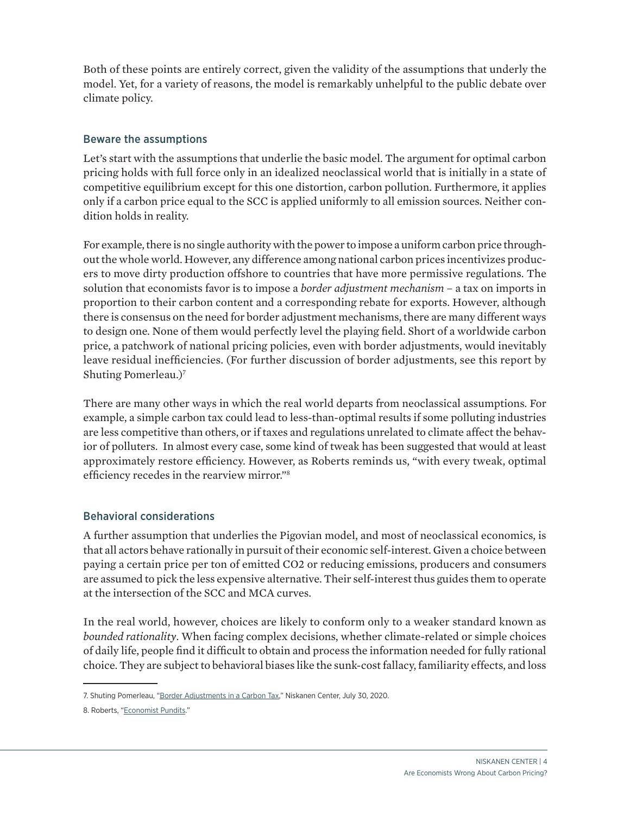<span id="page-5-0"></span>Both of these points are entirely correct, given the validity of the assumptions that underly the model. Yet, for a variety of reasons, the model is remarkably unhelpful to the public debate over climate policy.

#### Beware the assumptions

Let's start with the assumptions that underlie the basic model. The argument for optimal carbon pricing holds with full force only in an idealized neoclassical world that is initially in a state of competitive equilibrium except for this one distortion, carbon pollution. Furthermore, it applies only if a carbon price equal to the SCC is applied uniformly to all emission sources. Neither condition holds in reality.

For example, there is no single authority with the power to impose a uniform carbon price throughout the whole world. However, any difference among national carbon prices incentivizes producers to move dirty production offshore to countries that have more permissive regulations. The solution that economists favor is to impose a *border adjustment mechanism* – a tax on imports in proportion to their carbon content and a corresponding rebate for exports. However, although there is consensus on the need for border adjustment mechanisms, there are many different ways to design one. None of them would perfectly level the playing field. Short of a worldwide carbon price, a patchwork of national pricing policies, even with border adjustments, would inevitably leave residual inefficiencies. (For further discussion of border adjustments, see this [report](https://www.niskanencenter.org/border-adjustments-in-a-carbon-tax/) by Shuting Pomerleau.)7

There are many other ways in which the real world departs from neoclassical assumptions. For example, a simple carbon tax could lead to less-than-optimal results if some polluting industries are less competitive than others, or if taxes and regulations unrelated to climate affect the behavior of polluters. In almost every case, some kind of tweak has been suggested that would at least approximately restore efficiency. However, as Roberts reminds us, "with every tweak, optimal efficiency recedes in the rearview mirror."8

#### Behavioral considerations

A further assumption that underlies the Pigovian model, and most of neoclassical economics, is that all actors behave rationally in pursuit of their economic self-interest. Given a choice between paying a certain price per ton of emitted CO2 or reducing emissions, producers and consumers are assumed to pick the less expensive alternative. Their self-interest thus guides them to operate at the intersection of the SCC and MCA curves.

In the real world, however, choices are likely to conform only to a weaker standard known as *bounded rationality*. When facing complex decisions, whether climate-related or simple choices of daily life, people find it difficult to obtain and process the information needed for fully rational choice. They are subject to behavioral biases like the sunk-cost fallacy, familiarity effects, and loss

<sup>7.</sup> Shuting Pomerleau, ["Border Adjustments in a Carbon Tax](https://www.niskanencenter.org/border-adjustments-in-a-carbon-tax/)," Niskanen Center, July 30, 2020.

<sup>8.</sup> Roberts, ["Economist Pundits](https://www.volts.wtf/p/a-rant-about-economist-pundits-and?token=eyJ1c2VyX2lkIjo5Njg0OTYsInBvc3RfaWQiOjQyMTkxMTIxLCJfIjoianhScUYiLCJpYXQiOjE2MzM5NjMyMzMsImV4cCI6MTYzMzk2NjgzMywiaXNzIjoicHViLTE5MzAyNCIsInN1YiI6InBvc3QtcmVhY3Rpb24ifQ.iXK82837ISkZ0v5M80gkSalBKMSFn-wbB_h6FspBPN8&s=r)."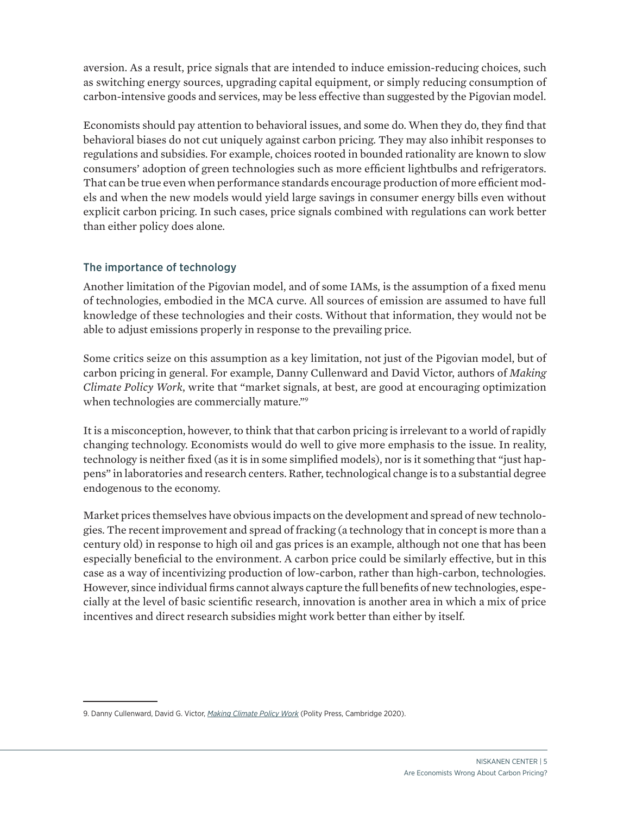<span id="page-6-0"></span>aversion. As a result, price signals that are intended to induce emission-reducing choices, such as switching energy sources, upgrading capital equipment, or simply reducing consumption of carbon-intensive goods and services, may be less effective than suggested by the Pigovian model.

Economists should pay attention to behavioral issues, and some do. When they do, they find that behavioral biases do not cut uniquely against carbon pricing. They may also inhibit responses to regulations and subsidies. For example, choices rooted in bounded rationality are known to slow consumers' adoption of green technologies such as more efficient lightbulbs and refrigerators. That can be true even when performance standards encourage production of more efficient models and when the new models would yield large savings in consumer energy bills even without explicit carbon pricing. In such cases, price signals combined with regulations can work better than either policy does alone.

#### The importance of technology

Another limitation of the Pigovian model, and of some IAMs, is the assumption of a fixed menu of technologies, embodied in the MCA curve. All sources of emission are assumed to have full knowledge of these technologies and their costs. Without that information, they would not be able to adjust emissions properly in response to the prevailing price.

Some critics seize on this assumption as a key limitation, not just of the Pigovian model, but of carbon pricing in general. For example, Danny Cullenward and David Victor, authors of *[Making](https://www.wiley.com/en-us/Making+Climate+Policy+Work-p-9781509541805)  [Climate Policy](https://www.wiley.com/en-us/Making+Climate+Policy+Work-p-9781509541805) Work*, write that "market signals, at best, are good at encouraging optimization when technologies are commercially mature."<sup>9</sup>

It is a misconception, however, to think that that carbon pricing is irrelevant to a world of rapidly changing technology. Economists would do well to give more emphasis to the issue. In reality, technology is neither fixed (as it is in some simplified models), nor is it something that "just happens" in laboratories and research centers. Rather, technological change is to a substantial degree endogenous to the economy.

Market prices themselves have obvious impacts on the development and spread of new technologies. The recent improvement and spread of fracking (a technology that in concept is more than a century old) in response to high oil and gas prices is an example, although not one that has been especially beneficial to the environment. A carbon price could be similarly effective, but in this case as a way of incentivizing production of low-carbon, rather than high-carbon, technologies. However, since individual firms cannot always capture the full benefits of new technologies, especially at the level of basic scientific research, innovation is another area in which a mix of price incentives and direct research subsidies might work better than either by itself.

<sup>9.</sup> Danny Cullenward, David G. Victor, *[Making Climate Policy Work](https://www.wiley.com/en-us/Making+Climate+Policy+Work-p-9781509541805)* (Polity Press, Cambridge 2020).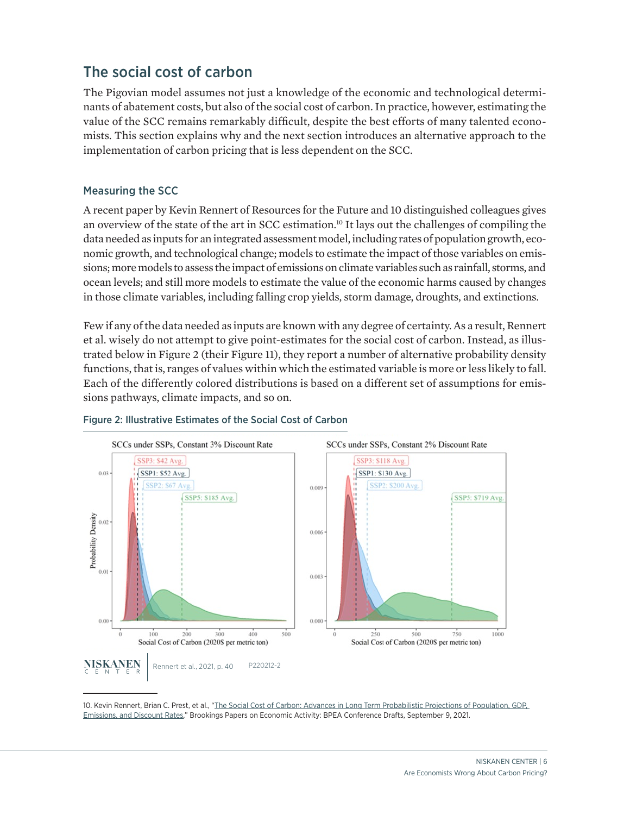## <span id="page-7-0"></span>The social cost of carbon

The Pigovian model assumes not just a knowledge of the economic and technological determinants of abatement costs, but also of the social cost of carbon. In practice, however, estimating the value of the SCC remains remarkably difficult, despite the best efforts of many talented economists. This section explains why and the next section introduces an alternative approach to the implementation of carbon pricing that is less dependent on the SCC.

#### Measuring the SCC

A recent paper by [Kevin Rennert](https://www.brookings.edu/wp-content/uploads/2021/09/Social-Cost-of-Carbon_Conf-Draft.pdf) of Resources for the Future and 10 distinguished colleagues gives an overview of the state of the art in SCC estimation.<sup>10</sup> It lays out the challenges of compiling the data needed as inputs for an integrated assessment model, including rates of population growth, economic growth, and technological change; models to estimate the impact of those variables on emissions; more models to assess the impact of emissions on climate variables such as rainfall, storms, and ocean levels; and still more models to estimate the value of the economic harms caused by changes in those climate variables, including falling crop yields, storm damage, droughts, and extinctions.

Few if any of the data needed as inputs are known with any degree of certainty. As a result, Rennert et al. wisely do not attempt to give point-estimates for the social cost of carbon. Instead, as illustrated below in Figure 2 (their Figure 11), they report a number of alternative probability density functions, that is, ranges of values within which the estimated variable is more or less likely to fall. Each of the differently colored distributions is based on a different set of assumptions for emissions pathways, climate impacts, and so on.



#### Figure 2: Illustrative Estimates of the Social Cost of Carbon

10. Kevin Rennert, Brian C. Prest, et al., "The Social Cost of Carbon: Advances in Long Term Probabilistic Projections of Population, GDP, [Emissions, and Discount Rates,"](https://www.brookings.edu/wp-content/uploads/2021/09/Social-Cost-of-Carbon_Conf-Draft.pdf) Brookings Papers on Economic Activity: BPEA Conference Drafts, September 9, 2021.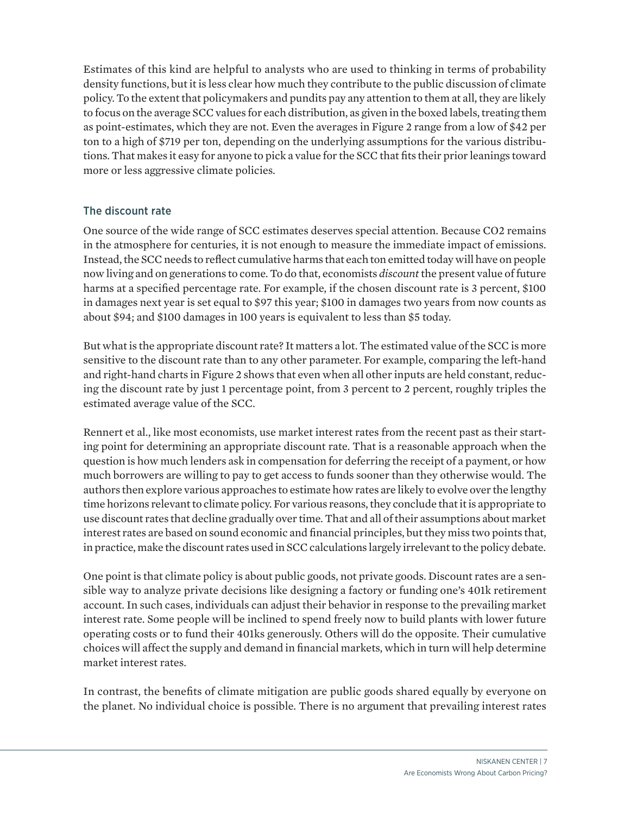<span id="page-8-0"></span>Estimates of this kind are helpful to analysts who are used to thinking in terms of probability density functions, but it is less clear how much they contribute to the public discussion of climate policy. To the extent that policymakers and pundits pay any attention to them at all, they are likely to focus on the average SCC values for each distribution, as given in the boxed labels, treating them as point-estimates, which they are not. Even the averages in Figure 2 range from a low of \$42 per ton to a high of \$719 per ton, depending on the underlying assumptions for the various distributions. That makes it easy for anyone to pick a value for the SCC that fits their prior leanings toward more or less aggressive climate policies.

#### The discount rate

One source of the wide range of SCC estimates deserves special attention. Because CO2 remains in the atmosphere for centuries, it is not enough to measure the immediate impact of emissions. Instead, the SCC needs to reflect cumulative harms that each ton emitted today will have on people now living and on generations to come. To do that, economists *discount* the present value of future harms at a specified percentage rate. For example, if the chosen discount rate is 3 percent, \$100 in damages next year is set equal to \$97 this year; \$100 in damages two years from now counts as about \$94; and \$100 damages in 100 years is equivalent to less than \$5 today.

But what is the appropriate discount rate? It matters a lot. The estimated value of the SCC is more sensitive to the discount rate than to any other parameter. For example, comparing the left-hand and right-hand charts in Figure 2 shows that even when all other inputs are held constant, reducing the discount rate by just 1 percentage point, from 3 percent to 2 percent, roughly triples the estimated average value of the SCC.

Rennert et al., like most economists, use market interest rates from the recent past as their starting point for determining an appropriate discount rate. That is a reasonable approach when the question is how much lenders ask in compensation for deferring the receipt of a payment, or how much borrowers are willing to pay to get access to funds sooner than they otherwise would. The authors then explore various approaches to estimate how rates are likely to evolve over the lengthy time horizons relevant to climate policy. For various reasons, they conclude that it is appropriate to use discount rates that decline gradually over time. That and all of their assumptions about market interest rates are based on sound economic and financial principles, but they miss two points that, in practice, make the discount rates used in SCC calculations largely irrelevant to the policy debate.

One point is that climate policy is about public goods, not private goods. Discount rates are a sensible way to analyze private decisions like designing a factory or funding one's 401k retirement account. In such cases, individuals can adjust their behavior in response to the prevailing market interest rate. Some people will be inclined to spend freely now to build plants with lower future operating costs or to fund their 401ks generously. Others will do the opposite. Their cumulative choices will affect the supply and demand in financial markets, which in turn will help determine market interest rates.

In contrast, the benefits of climate mitigation are public goods shared equally by everyone on the planet. No individual choice is possible. There is no argument that prevailing interest rates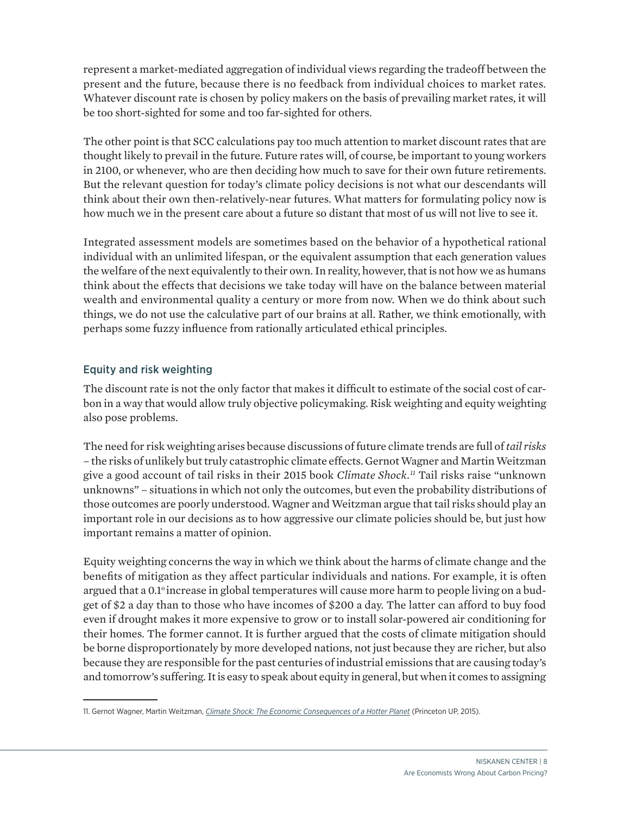<span id="page-9-0"></span>represent a market-mediated aggregation of individual views regarding the tradeoff between the present and the future, because there is no feedback from individual choices to market rates. Whatever discount rate is chosen by policy makers on the basis of prevailing market rates, it will be too short-sighted for some and too far-sighted for others.

The other point is that SCC calculations pay too much attention to market discount rates that are thought likely to prevail in the future. Future rates will, of course, be important to young workers in 2100, or whenever, who are then deciding how much to save for their own future retirements. But the relevant question for today's climate policy decisions is not what our descendants will think about their own then-relatively-near futures. What matters for formulating policy now is how much we in the present care about a future so distant that most of us will not live to see it.

Integrated assessment models are sometimes based on the behavior of a hypothetical rational individual with an unlimited lifespan, or the equivalent assumption that each generation values the welfare of the next equivalently to their own. In reality, however, that is not how we as humans think about the effects that decisions we take today will have on the balance between material wealth and environmental quality a century or more from now. When we do think about such things, we do not use the calculative part of our brains at all. Rather, we think emotionally, with perhaps some fuzzy influence from rationally articulated ethical principles.

#### Equity and risk weighting

The discount rate is not the only factor that makes it difficult to estimate of the social cost of carbon in a way that would allow truly objective policymaking. Risk weighting and equity weighting also pose problems.

The need for risk weighting arises because discussions of future climate trends are full of *tail risks* – the risks of unlikely but truly catastrophic climate effects. Gernot Wagner and Martin Weitzman give a good account of tail risks in their 2015 book *[Climate Shock.](https://gwagner.com/books/climate-shock/) <sup>11</sup>* Tail risks raise "unknown unknowns" – situations in which not only the outcomes, but even the probability distributions of those outcomes are poorly understood. Wagner and Weitzman argue that tail risks should play an important role in our decisions as to how aggressive our climate policies should be, but just how important remains a matter of opinion.

Equity weighting concerns the way in which we think about the harms of climate change and the benefits of mitigation as they affect particular individuals and nations. For example, it is often argued that a 0.1<sup>o</sup> increase in global temperatures will cause more harm to people living on a budget of \$2 a day than to those who have incomes of \$200 a day. The latter can afford to buy food even if drought makes it more expensive to grow or to install solar-powered air conditioning for their homes. The former cannot. It is further argued that the costs of climate mitigation should be borne disproportionately by more developed nations, not just because they are richer, but also because they are responsible for the past centuries of industrial emissions that are causing today's and tomorrow's suffering. It is easy to speak about equity in general, but when it comes to assigning

<sup>11.</sup> Gernot Wagner, Martin Weitzman, *[Climate Shock: The Economic Consequences of a Hotter Planet](https://gwagner.com/books/climate-shock/)* (Princeton UP, 2015).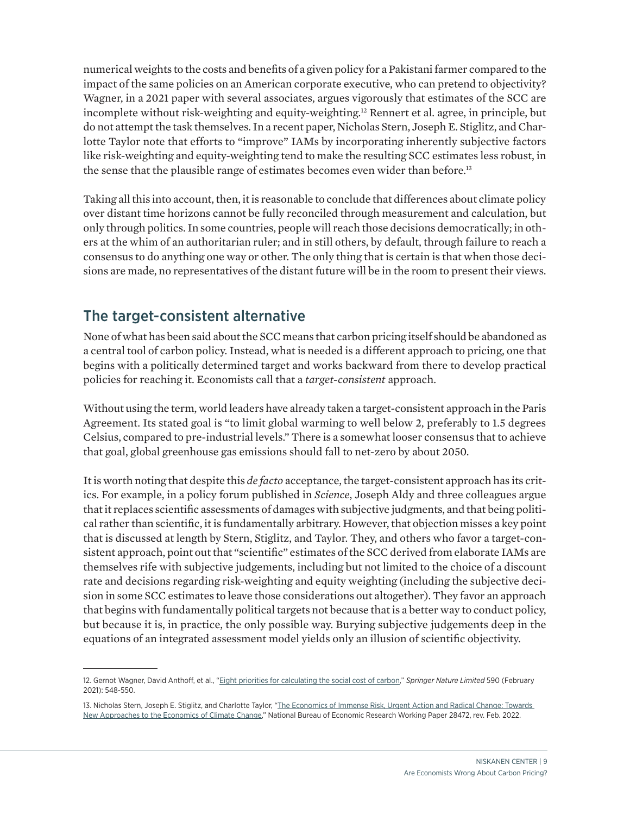<span id="page-10-0"></span>numerical weights to the costs and benefits of a given policy for a Pakistani farmer compared to the impact of the same policies on an American corporate executive, who can pretend to objectivity? Wagner, in a [2021 paper with several associates,](https://www.researchgate.net/publication/349471624_Eight_priorities_for_calculating_the_social_cost_of_carbon) argues vigorously that estimates of the SCC are incomplete without risk-weighting and equity-weighting.<sup>12</sup> Rennert et al. agree, in principle, but do not attempt the task themselves. In a recent paper, [Nicholas Stern, Joseph E. Stiglitz, and Char](http://www.nber.org/papers/w28472)[lotte Taylor](http://www.nber.org/papers/w28472) note that efforts to "improve" IAMs by incorporating inherently subjective factors like risk-weighting and equity-weighting tend to make the resulting SCC estimates less robust, in the sense that the plausible range of estimates becomes even wider than before.<sup>13</sup>

Taking all this into account, then, it is reasonable to conclude that differences about climate policy over distant time horizons cannot be fully reconciled through measurement and calculation, but only through politics. In some countries, people will reach those decisions democratically; in others at the whim of an authoritarian ruler; and in still others, by default, through failure to reach a consensus to do anything one way or other. The only thing that is certain is that when those decisions are made, no representatives of the distant future will be in the room to present their views.

## The target-consistent alternative

None of what has been said about the SCC means that carbon pricing itself should be abandoned as a central tool of carbon policy. Instead, what is needed is a different approach to pricing, one that begins with a politically determined target and works backward from there to develop practical policies for reaching it. Economists call that a *target-consistent* approach.

Without using the term, world leaders have already taken a target-consistent approach in the Paris Agreement. Its stated goal is "to limit global warming to well below 2, preferably to 1.5 degrees Celsius, compared to pre-industrial levels." There is a somewhat looser consensus that to achieve that goal, global greenhouse gas emissions should fall to net-zero by about 2050.

It is worth noting that despite this *de facto* acceptance, the target-consistent approach has its critics. For example, in a policy forum published in *Science*, [Joseph Aldy and three colleagues](https://www.science.org/doi/10.1126/science.abi7813) argue that it replaces scientific assessments of damages with subjective judgments, and that being political rather than scientific, it is fundamentally arbitrary. However, that objection misses a key point that is discussed at length by Stern, Stiglitz, and Taylor. They, and others who favor a target-consistent approach, point out that "scientific" estimates of the SCC derived from elaborate IAMs are themselves rife with subjective judgements, including but not limited to the choice of a discount rate and decisions regarding risk-weighting and equity weighting (including the subjective decision in some SCC estimates to leave those considerations out altogether). They favor an approach that begins with fundamentally political targets not because that is a better way to conduct policy, but because it is, in practice, the only possible way. Burying subjective judgements deep in the equations of an integrated assessment model yields only an illusion of scientific objectivity.

<sup>12.</sup> Gernot Wagner, David Anthoff, et al., ["Eight priorities for calculating the social cost of carbon,"](https://www.researchgate.net/publication/349471624_Eight_priorities_for_calculating_the_social_cost_of_carbon) *Springer Nature Limited* 590 (February 2021): 548-550.

<sup>13.</sup> Nicholas Stern, Joseph E. Stiglitz, and Charlotte Taylor, "The Economics of Immense Risk, Urgent Action and Radical Change: Towards [New Approaches to the Economics of Climate Change,"](https://www.nber.org/papers/w28472) National Bureau of Economic Research Working Paper 28472, rev. Feb. 2022.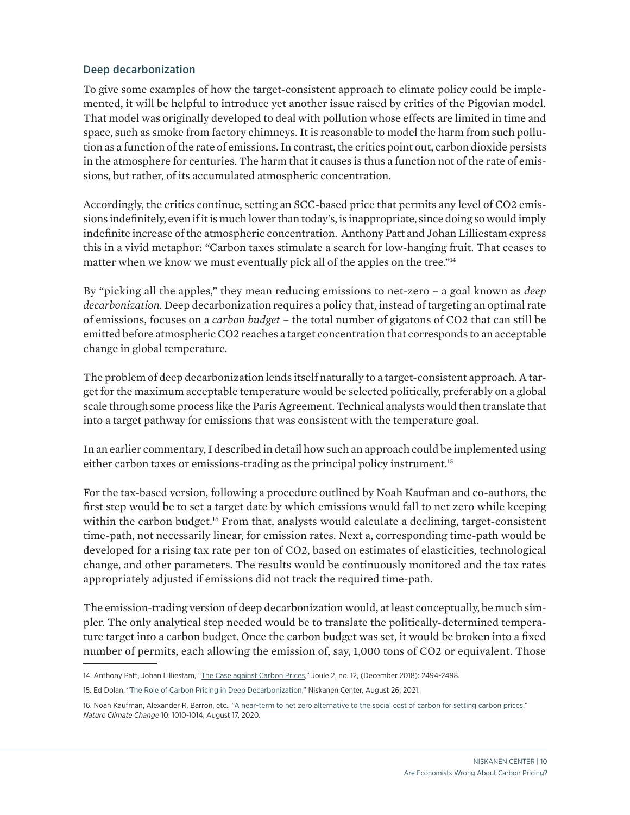#### <span id="page-11-0"></span>Deep decarbonization

To give some examples of how the target-consistent approach to climate policy could be implemented, it will be helpful to introduce yet another issue raised by critics of the Pigovian model. That model was originally developed to deal with pollution whose effects are limited in time and space, such as smoke from factory chimneys. It is reasonable to model the harm from such pollution as a function of the rate of emissions. In contrast, the critics point out, carbon dioxide persists in the atmosphere for centuries. The harm that it causes is thus a function not of the rate of emissions, but rather, of its accumulated atmospheric concentration.

Accordingly, the critics continue, setting an SCC-based price that permits any level of CO2 emissions indefinitely, even if it is much lower than today's, is inappropriate, since doing so would imply indefinite increase of the atmospheric concentration[. Anthony Patt and Johan Lilliestam](https://www.cell.com/joule/fulltext/S2542-4351(18)30567-1?_returnURL=https%3A%2F%2Flinkinghub.elsevier.com%2Fretrieve%2Fpii%2FS2542435118305671%3Fshowall%3Dtrue) express this in a vivid metaphor: "Carbon taxes stimulate a search for low-hanging fruit. That ceases to matter when we know we must eventually pick all of the apples on the tree."<sup>14</sup>

By "picking all the apples," they mean reducing emissions to net-zero – a goal known as *deep decarbonization.* Deep decarbonization requires a policy that, instead of targeting an optimal rate of emissions, focuses on a *carbon budget* – the total number of gigatons of CO2 that can still be emitted before atmospheric CO2 reaches a target concentration that corresponds to an acceptable change in global temperature.

The problem of deep decarbonization lends itself naturally to a target-consistent approach. A target for the maximum acceptable temperature would be selected politically, preferably on a global scale through some process like the Paris Agreement. Technical analysts would then translate that into a target pathway for emissions that was consistent with the temperature goal.

In an [earlier commentary,](https://www.niskanencenter.org/the-role-of-carbon-pricing-in-deep-decarbonization/) I described in detail how such an approach could be implemented using either carbon taxes or emissions-trading as the principal policy instrument.<sup>15</sup>

For the tax-based version, following a procedure outlined by [Noah Kaufman](https://www.nature.com/articles/s41558-020-0880-3) and co-authors, the first step would be to set a target date by which emissions would fall to net zero while keeping within the carbon budget.<sup>16</sup> From that, analysts would calculate a declining, target-consistent time-path, not necessarily linear, for emission rates. Next a, corresponding time-path would be developed for a rising tax rate per ton of CO2, based on estimates of elasticities, technological change, and other parameters. The results would be continuously monitored and the tax rates appropriately adjusted if emissions did not track the required time-path.

The emission-trading version of deep decarbonization would, at least conceptually, be much simpler. The only analytical step needed would be to translate the politically-determined temperature target into a carbon budget. Once the carbon budget was set, it would be broken into a fixed number of permits, each allowing the emission of, say, 1,000 tons of CO2 or equivalent. Those

<sup>14.</sup> Anthony Patt, Johan Lilliestam, "[The Case against Carbon Prices,"](https://www.cell.com/joule/fulltext/S2542-4351(18)30567-1?_returnURL=https%3A%2F%2Flinkinghub.elsevier.com%2Fretrieve%2Fpii%2FS2542435118305671%3Fshowall%3Dtrue) Joule 2, no. 12, (December 2018): 2494-2498.

<sup>15.</sup> Ed Dolan, ["The Role of Carbon Pricing in Deep Decarbonization,"](https://www.niskanencenter.org/the-role-of-carbon-pricing-in-deep-decarbonization/) Niskanen Center, August 26, 2021.

<sup>16.</sup> Noah Kaufman, Alexander R. Barron, etc., ["A near-term to net zero alternative to the social cost of carbon for setting carbon prices,"](https://www.nature.com/articles/s41558-020-0880-3) *Nature Climate Change* 10: 1010-1014, August 17, 2020.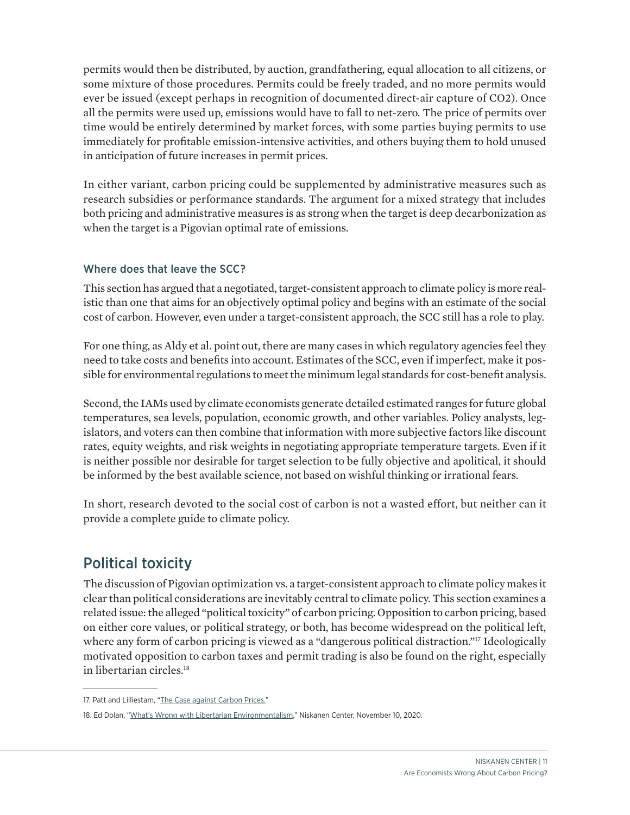<span id="page-12-0"></span>permits would then be distributed, by auction, grandfathering, equal allocation to all citizens, or some mixture of those procedures. Permits could be freely traded, and no more permits would ever be issued (except perhaps in recognition of documented direct-air capture of CO2). Once all the permits were used up, emissions would have to fall to net-zero. The price of permits over time would be entirely determined by market forces, with some parties buying permits to use immediately for profitable emission-intensive activities, and others buying them to hold unused in anticipation of future increases in permit prices.

In either variant, carbon pricing could be supplemented by administrative measures such as research subsidies or performance standards. The argument for a mixed strategy that includes both pricing and administrative measures is as strong when the target is deep decarbonization as when the target is a Pigovian optimal rate of emissions.

#### Where does that leave the SCC?

This section has argued that a negotiated, target-consistent approach to climate policy is more realistic than one that aims for an objectively optimal policy and begins with an estimate of the social cost of carbon. However, even under a target-consistent approach, the SCC still has a role to play.

For one thing, as Aldy et al. point out, there are many cases in which regulatory agencies feel they need to take costs and benefits into account. Estimates of the SCC, even if imperfect, make it possible for environmental regulations to meet the minimum legal standards for cost-benefit analysis.

Second, the IAMs used by climate economists generate detailed estimated ranges for future global temperatures, sea levels, population, economic growth, and other variables. Policy analysts, legislators, and voters can then combine that information with more subjective factors like discount rates, equity weights, and risk weights in negotiating appropriate temperature targets. Even if it is neither possible nor desirable for target selection to be fully objective and apolitical, it should be informed by the best available science, not based on wishful thinking or irrational fears.

In short, research devoted to the social cost of carbon is not a wasted effort, but neither can it provide a complete guide to climate policy.

## Political toxicity

The discussion of Pigovian optimization vs. a target-consistent approach to climate policy makes it clear than political considerations are inevitably central to climate policy. This section examines a related issue: the alleged "political toxicity" of carbon pricing. Opposition to carbon pricing, based on either core values, or political strategy, or both, has become widespread on the political left, where any form of carbon pricing is viewed as a ["dangerous political distraction](https://www.cell.com/joule/fulltext/S2542-4351(18)30567-1?_returnURL=https%3A%2F%2Flinkinghub.elsevier.com%2Fretrieve%2Fpii%2FS2542435118305671%3Fshowall%3Dtrue)."<sup>17</sup> Ideologically motivated opposition to carbon taxes and permit trading is also be found on the right, especially in [libertarian circles.](https://www.niskanencenter.org/whats-wrong-with-libertarian-environmentalism/) 18

<sup>17.</sup> Patt and Lilliestam, ["The Case against Carbon Prices.](https://www.cell.com/joule/fulltext/S2542-4351(18)30567-1?_returnURL=https%3A%2F%2Flinkinghub.elsevier.com%2Fretrieve%2Fpii%2FS2542435118305671%3Fshowall%3Dtrue)"

<sup>18.</sup> Ed Dolan, "[What's Wrong with Libertarian Environmentalism,](https://www.niskanencenter.org/whats-wrong-with-libertarian-environmentalism/)" Niskanen Center, November 10, 2020.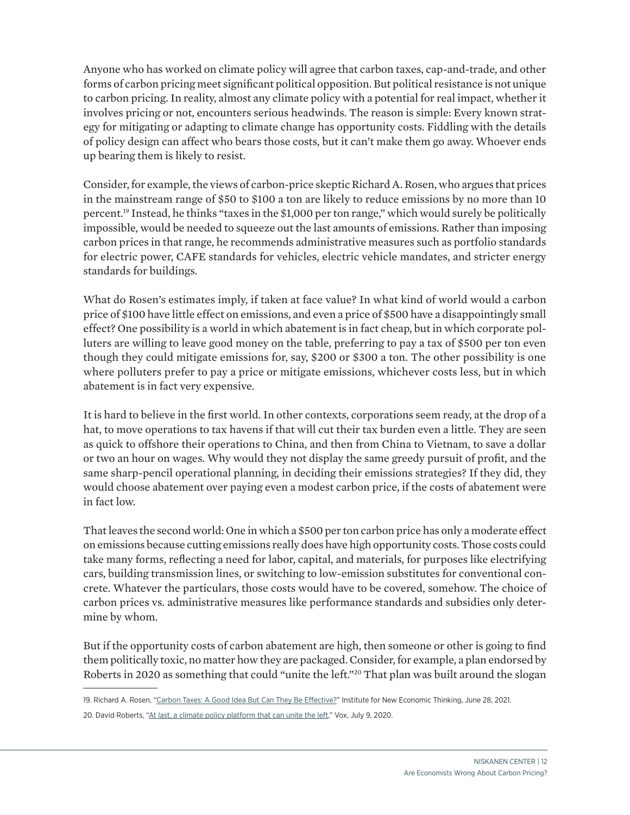Anyone who has worked on climate policy will agree that carbon taxes, cap-and-trade, and other forms of carbon pricing meet significant political opposition. But political resistance is not unique to carbon pricing. In reality, almost any climate policy with a potential for real impact, whether it involves pricing or not, encounters serious headwinds. The reason is simple: Every known strategy for mitigating or adapting to climate change has opportunity costs. Fiddling with the details of policy design can affect who bears those costs, but it can't make them go away. Whoever ends up bearing them is likely to resist.

Consider, for example, the views of carbon-price skeptic [Richard A. Rosen](https://www.ineteconomics.org/perspectives/blog/carbon-taxes-a-good-idea-but-can-they-be-effective), who argues that prices in the mainstream range of \$50 to \$100 a ton are likely to reduce emissions by no more than 10 percent.19 Instead, he thinks "taxes in the \$1,000 per ton range," which would surely be politically impossible, would be needed to squeeze out the last amounts of emissions. Rather than imposing carbon prices in that range, he recommends administrative measures such as portfolio standards for electric power, CAFE standards for vehicles, electric vehicle mandates, and stricter energy standards for buildings.

What do Rosen's estimates imply, if taken at face value? In what kind of world would a carbon price of \$100 have little effect on emissions, and even a price of \$500 have a disappointingly small effect? One possibility is a world in which abatement is in fact cheap, but in which corporate polluters are willing to leave good money on the table, preferring to pay a tax of \$500 per ton even though they could mitigate emissions for, say, \$200 or \$300 a ton. The other possibility is one where polluters prefer to pay a price or mitigate emissions, whichever costs less, but in which abatement is in fact very expensive.

It is hard to believe in the first world. In other contexts, corporations seem ready, at the drop of a hat, to move operations to tax havens if that will cut their tax burden even a little. They are seen as quick to offshore their operations to China, and then from China to Vietnam, to save a dollar or two an hour on wages. Why would they not display the same greedy pursuit of profit, and the same sharp-pencil operational planning, in deciding their emissions strategies? If they did, they would choose abatement over paying even a modest carbon price, if the costs of abatement were in fact low.

That leaves the second world: One in which a \$500 per ton carbon price has only a moderate effect on emissions because cutting emissions really does have high opportunity costs. Those costs could take many forms, reflecting a need for labor, capital, and materials, for purposes like electrifying cars, building transmission lines, or switching to low-emission substitutes for conventional concrete. Whatever the particulars, those costs would have to be covered, somehow. The choice of carbon prices vs. administrative measures like performance standards and subsidies only determine by whom.

But if the opportunity costs of carbon abatement are high, then someone or other is going to find them politically toxic, no matter how they are packaged. Consider, for example, a plan endorsed by [Roberts in 2020](https://www.vox.com/energy-and-environment/21252892/climate-change-democrats-joe-biden-renewable-energy-unions-environmental-justice) as something that could "unite the left."<sup>20</sup> That plan was built around the slogan

<sup>19.</sup> Richard A. Rosen, ["Carbon Taxes: A Good Idea But Can They Be Effective?](https://www.ineteconomics.org/perspectives/blog/carbon-taxes-a-good-idea-but-can-they-be-effective)" Institute for New Economic Thinking, June 28, 2021. 20. David Roberts, ["At last, a climate policy platform that can unite the left](https://www.vox.com/energy-and-environment/21252892/climate-change-democrats-joe-biden-renewable-energy-unions-environmental-justice)," Vox, July 9, 2020.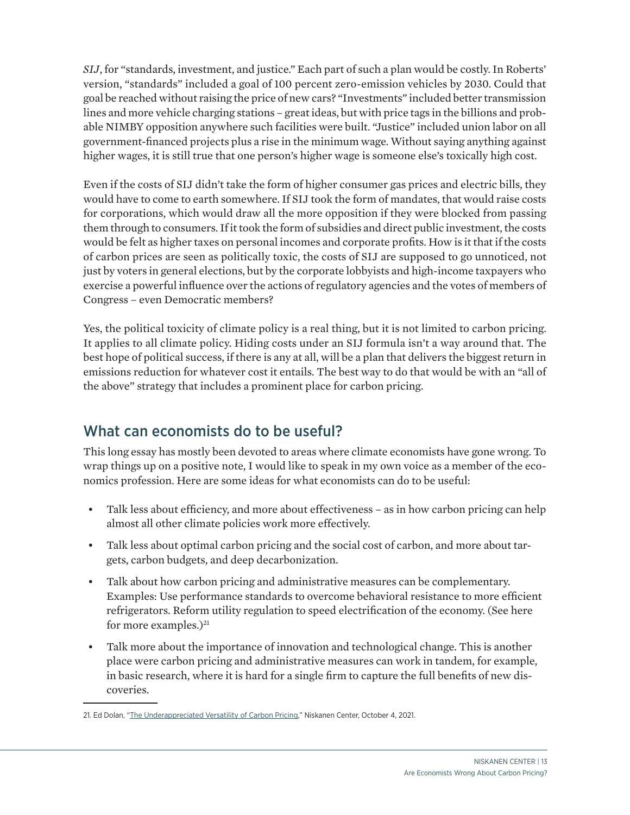<span id="page-14-0"></span>*SIJ*, for "standards, investment, and justice." Each part of such a plan would be costly. In Roberts' version, "standards" included a goal of 100 percent zero-emission vehicles by 2030. Could that goal be reached without raising the price of new cars? "Investments" included better transmission lines and more vehicle charging stations – great ideas, but with price tags in the billions and probable NIMBY opposition anywhere such facilities were built. "Justice" included union labor on all government-financed projects plus a rise in the minimum wage. Without saying anything against higher wages, it is still true that one person's higher wage is someone else's toxically high cost.

Even if the costs of SIJ didn't take the form of higher consumer gas prices and electric bills, they would have to come to earth somewhere. If SIJ took the form of mandates, that would raise costs for corporations, which would draw all the more opposition if they were blocked from passing them through to consumers. If it took the form of subsidies and direct public investment, the costs would be felt as higher taxes on personal incomes and corporate profits. How is it that if the costs of carbon prices are seen as politically toxic, the costs of SIJ are supposed to go unnoticed, not just by voters in general elections, but by the corporate lobbyists and high-income taxpayers who exercise a powerful influence over the actions of regulatory agencies and the votes of members of Congress – even Democratic members?

Yes, the political toxicity of climate policy is a real thing, but it is not limited to carbon pricing. It applies to all climate policy. Hiding costs under an SIJ formula isn't a way around that. The best hope of political success, if there is any at all, will be a plan that delivers the biggest return in emissions reduction for whatever cost it entails. The best way to do that would be with an "all of the above" strategy that includes a prominent place for carbon pricing.

## What can economists do to be useful?

This long essay has mostly been devoted to areas where climate economists have gone wrong. To wrap things up on a positive note, I would like to speak in my own voice as a member of the economics profession. Here are some ideas for what economists can do to be useful:

- Talk less about efficiency, and more about effectiveness as in how carbon pricing can help almost all other climate policies work more effectively.
- Talk less about optimal carbon pricing and the social cost of carbon, and more about targets, carbon budgets, and deep decarbonization.
- Talk about how carbon pricing and administrative measures can be complementary. Examples: Use performance standards to overcome behavioral resistance to more efficient refrigerators. Reform utility regulation to speed electrification of the economy. ([See here](https://www.niskanencenter.org/the-underappreciated-versatility-of-carbon-pricing/) for more examples.) $^{21}$
- Talk more about the importance of innovation and technological change. This is another place were carbon pricing and administrative measures can work in tandem, for example, in basic research, where it is hard for a single firm to capture the full benefits of new discoveries.

<sup>21.</sup> Ed Dolan, ["The Underappreciated Versatility of Carbon Pricing,](https://www.niskanencenter.org/the-underappreciated-versatility-of-carbon-pricing/)" Niskanen Center, October 4, 2021.